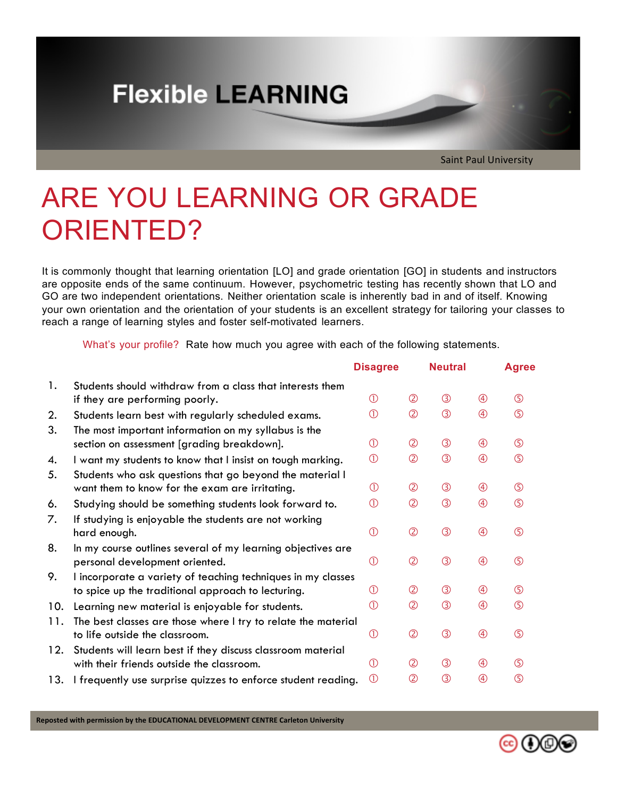## **Flexible LEARNING**

Saint Paul University

# ARE YOU LEARNING OR GRADE ORIENTED?

It is commonly thought that learning orientation [LO] and grade orientation [GO] in students and instructors are opposite ends of the same continuum. However, psychometric testing has recently shown that LO and GO are two independent orientations. Neither orientation scale is inherently bad in and of itself. Knowing your own orientation and the orientation of your students is an excellent strategy for tailoring your classes to reach a range of learning styles and foster self-motivated learners.

What's your profile? Rate how much you agree with each of the following statements.

|     |                                                               | <b>Disagree</b>            |                | <b>Neutral</b> |             | <b>Agree</b> |
|-----|---------------------------------------------------------------|----------------------------|----------------|----------------|-------------|--------------|
| 1.  | Students should withdraw from a class that interests them     |                            |                |                |             |              |
|     | if they are performing poorly.                                | $\circled{1}$              | $^{\circledR}$ | $\circledS$    | $\circledA$ | $\circledS$  |
| 2.  | Students learn best with regularly scheduled exams.           | $\circled{1}$              | $\circled{2}$  | $\circled{3}$  | $\circledA$ | $\circledS$  |
| 3.  | The most important information on my syllabus is the          |                            |                |                |             |              |
|     | section on assessment [grading breakdown].                    | $\circled{1}$              | $^{\circledR}$ | $\circledS$    | $\bigcirc$  | $\circledS$  |
| 4.  | I want my students to know that I insist on tough marking.    | $^{\circ}$                 | $\circled{2}$  | $\circled{3}$  | $\bigcirc$  | $\circledS$  |
| 5.  | Students who ask questions that go beyond the material I      |                            |                |                |             |              |
|     | want them to know for the exam are irritating.                | $\circ$                    | $\circledB$    | $\circledS$    | $\circledA$ | $\circledS$  |
| 6.  | Studying should be something students look forward to.        | $\circled{\scriptstyle 0}$ | $\circledZ$    | $\circled{3}$  | $\circledA$ | $\circledS$  |
| 7.  | If studying is enjoyable the students are not working         |                            |                |                |             |              |
|     | hard enough.                                                  | $^{\circ}$                 | $\circled{2}$  | $\circled{3}$  | $\bigcirc$  | $\circ$      |
| 8.  | In my course outlines several of my learning objectives are   |                            |                |                |             |              |
|     | personal development oriented.                                | $\circ$                    | $\circled{2}$  | $\circled{3}$  | $\bigcirc$  | $\circledS$  |
| 9.  | I incorporate a variety of teaching techniques in my classes  |                            |                |                |             |              |
|     | to spice up the traditional approach to lecturing.            | $\circ$                    | $\circledB$    | $\circledS$    | $\circledA$ | $\circledS$  |
| 10. | Learning new material is enjoyable for students.              | $\circ$                    | $\circledZ$    | $\circled{3}$  | $\circledA$ | $\circledS$  |
| 11. | The best classes are those where I try to relate the material |                            |                |                |             |              |
|     | to life outside the classroom.                                | $\circ$                    | $\circled{2}$  | $\circled{3}$  | $\circledA$ | $\circledS$  |
| 12. | Students will learn best if they discuss classroom material   |                            |                |                |             |              |
|     | with their friends outside the classroom.                     | (1)                        | (2)            | $\circledS$    | $\circledA$ | $\circledS$  |
| 13. | I frequently use surprise quizzes to enforce student reading. | $\circ$                    | $^{\circledR}$ | $\circled{3}$  | $\circledA$ | $\circledS$  |

Reposted with permission by the EDUCATIONAL DEVELOPMENT CENTRE Carleton University

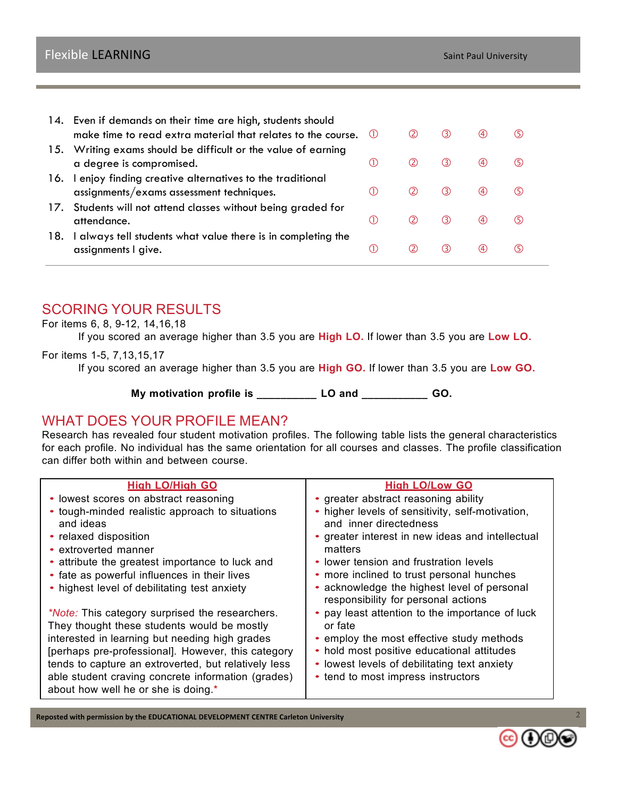|     | 14. Even if demands on their time are high, students should<br>make time to read extra material that relates to the course. | (1) | (2) | (3) | (4) | (5) |
|-----|-----------------------------------------------------------------------------------------------------------------------------|-----|-----|-----|-----|-----|
|     | 15. Writing exams should be difficult or the value of earning<br>a degree is compromised.                                   | (1) | (2) | (3) | (4) | (5) |
| 16. | I enjoy finding creative alternatives to the traditional<br>assignments/exams assessment techniques.                        | (1) | (2) | (3) | (4) | (5) |
|     | 17. Students will not attend classes without being graded for<br>attendance.                                                | (1) | (2) | (3) | (4) | (5) |
| 18. | always tell students what value there is in completing the<br>assignments I give.                                           | (1) | (2) | (3) | (4) | (5) |

## SCORING YOUR RESULTS

#### For items 6, 8, 9-12, 14,16,18

If you scored an average higher than 3.5 you are **High LO.** If lower than 3.5 you are **Low LO.**

#### For items 1-5, 7,13,15,17

If you scored an average higher than 3.5 you are **High GO.** If lower than 3.5 you are **Low GO.**

**My motivation profile is \_\_\_\_\_\_\_\_\_\_ LO and \_\_\_\_\_\_\_\_\_\_\_ GO.**

## WHAT DOES YOUR PROFILE MEAN?

Research has revealed four student motivation profiles. The following table lists the general characteristics for each profile. No individual has the same orientation for all courses and classes. The profile classification can differ both within and between course.

| <b>High LO/High GO</b>                                       | <b>High LO/Low GO</b>                                                              |
|--------------------------------------------------------------|------------------------------------------------------------------------------------|
| • lowest scores on abstract reasoning                        | • greater abstract reasoning ability                                               |
| • tough-minded realistic approach to situations<br>and ideas | • higher levels of sensitivity, self-motivation,<br>and inner directedness         |
| • relaxed disposition                                        | • greater interest in new ideas and intellectual                                   |
| • extroverted manner                                         | matters                                                                            |
| • attribute the greatest importance to luck and              | • lower tension and frustration levels                                             |
| • fate as powerful influences in their lives                 | • more inclined to trust personal hunches                                          |
| • highest level of debilitating test anxiety                 | • acknowledge the highest level of personal<br>responsibility for personal actions |
| <i>*Note:</i> This category surprised the researchers.       | • pay least attention to the importance of luck                                    |
| They thought these students would be mostly                  | or fate                                                                            |
| interested in learning but needing high grades               | • employ the most effective study methods                                          |
| [perhaps pre-professional]. However, this category           | • hold most positive educational attitudes                                         |
| tends to capture an extroverted, but relatively less         | • lowest levels of debilitating text anxiety                                       |
| able student craving concrete information (grades)           | • tend to most impress instructors                                                 |
| about how well he or she is doing.*                          |                                                                                    |
|                                                              |                                                                                    |

Reposted with permission by the EDUCATIONAL DEVELOPMENT CENTRE Carleton University